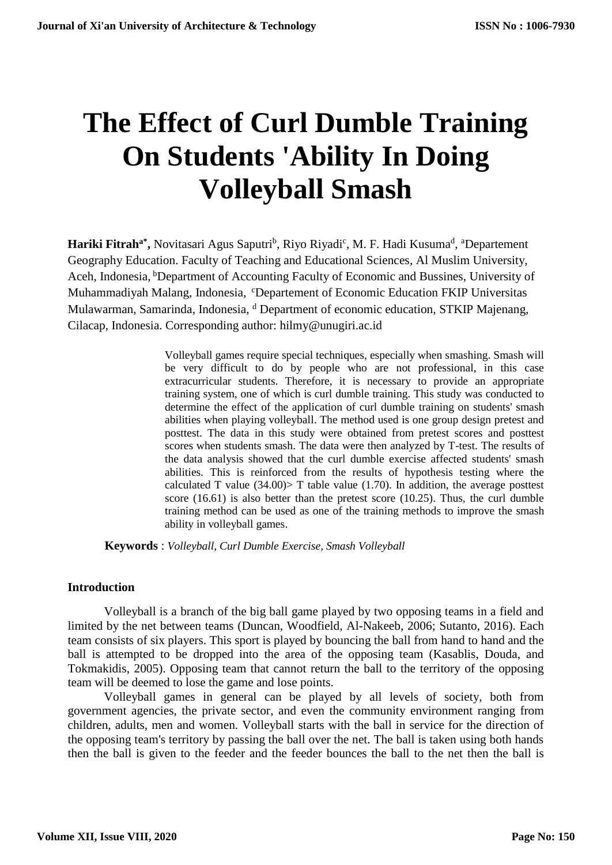# **The Effect of Curl Dumble Training On Students 'Ability In Doing Volleyball Smash**

Hariki Fitrah<sup>a\*</sup>, Novitasari Agus Saputri<sup>b</sup>, Riyo Riyadi<sup>c</sup>, M. F. Hadi Kusuma<sup>d</sup>, <sup>a</sup>Departement Geography Education. Faculty of Teaching and Educational Sciences, Al Muslim University, Aceh, Indonesia, <sup>b</sup>Department of Accounting Faculty of Economic and Bussines, University of Muhammadiyah Malang, Indonesia, <sup>c</sup>Departement of Economic Education FKIP Universitas Mulawarman, Samarinda, Indonesia, <sup>d</sup> Department of economic education, STKIP Majenang, Cilacap, Indonesia. Corresponding author: hilmy@unugiri.ac.id

> Volleyball games require special techniques, especially when smashing. Smash will be very difficult to do by people who are not professional, in this case extracurricular students. Therefore, it is necessary to provide an appropriate training system, one of which is curl dumble training. This study was conducted to determine the effect of the application of curl dumble training on students' smash abilities when playing volleyball. The method used is one group design pretest and posttest. The data in this study were obtained from pretest scores and posttest scores when students smash. The data were then analyzed by T-test. The results of the data analysis showed that the curl dumble exercise affected students' smash abilities. This is reinforced from the results of hypothesis testing where the calculated T value  $(34.00)$ > T table value  $(1.70)$ . In addition, the average posttest score (16.61) is also better than the pretest score (10.25). Thus, the curl dumble training method can be used as one of the training methods to improve the smash ability in volleyball games.

**Keywords** : *Volleyball, Curl Dumble Exercise, Smash Volleyball*

#### **Introduction**

Volleyball is a branch of the big ball game played by two opposing teams in a field and limited by the net between teams (Duncan, Woodfield, Al-Nakeeb, 2006; Sutanto, 2016). Each team consists of six players. This sport is played by bouncing the ball from hand to hand and the ball is attempted to be dropped into the area of the opposing team (Kasablis, Douda, and Tokmakidis, 2005). Opposing team that cannot return the ball to the territory of the opposing team will be deemed to lose the game and lose points.

Volleyball games in general can be played by all levels of society, both from government agencies, the private sector, and even the community environment ranging from children, adults, men and women. Volleyball starts with the ball in service for the direction of the opposing team's territory by passing the ball over the net. The ball is taken using both hands then the ball is given to the feeder and the feeder bounces the ball to the net then the ball is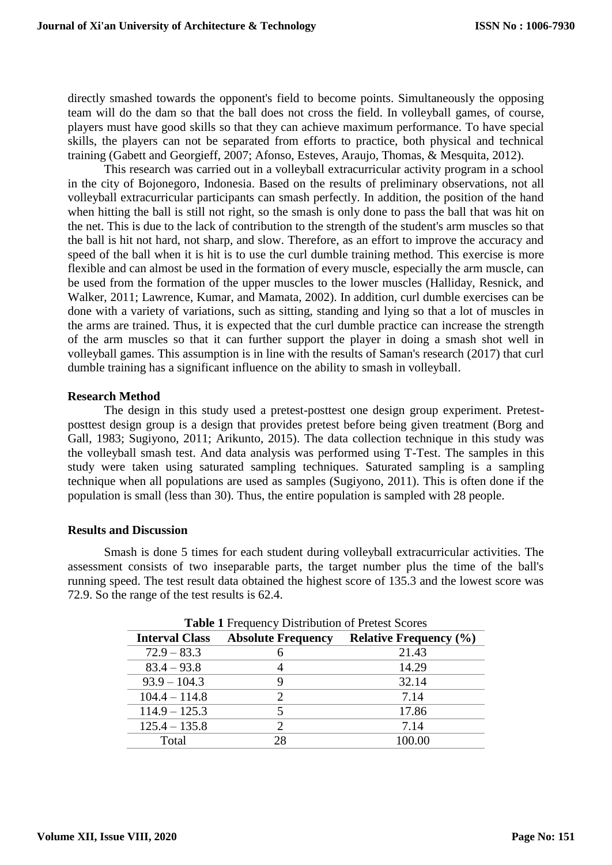directly smashed towards the opponent's field to become points. Simultaneously the opposing team will do the dam so that the ball does not cross the field. In volleyball games, of course, players must have good skills so that they can achieve maximum performance. To have special skills, the players can not be separated from efforts to practice, both physical and technical training (Gabett and Georgieff, 2007; Afonso, Esteves, Araujo, Thomas, & Mesquita, 2012).

This research was carried out in a volleyball extracurricular activity program in a school in the city of Bojonegoro, Indonesia. Based on the results of preliminary observations, not all volleyball extracurricular participants can smash perfectly. In addition, the position of the hand when hitting the ball is still not right, so the smash is only done to pass the ball that was hit on the net. This is due to the lack of contribution to the strength of the student's arm muscles so that the ball is hit not hard, not sharp, and slow. Therefore, as an effort to improve the accuracy and speed of the ball when it is hit is to use the curl dumble training method. This exercise is more flexible and can almost be used in the formation of every muscle, especially the arm muscle, can be used from the formation of the upper muscles to the lower muscles (Halliday, Resnick, and Walker, 2011; Lawrence, Kumar, and Mamata, 2002). In addition, curl dumble exercises can be done with a variety of variations, such as sitting, standing and lying so that a lot of muscles in the arms are trained. Thus, it is expected that the curl dumble practice can increase the strength of the arm muscles so that it can further support the player in doing a smash shot well in volleyball games. This assumption is in line with the results of Saman's research (2017) that curl dumble training has a significant influence on the ability to smash in volleyball.

## **Research Method**

The design in this study used a pretest-posttest one design group experiment. Pretestposttest design group is a design that provides pretest before being given treatment (Borg and Gall, 1983; Sugiyono, 2011; Arikunto, 2015). The data collection technique in this study was the volleyball smash test. And data analysis was performed using T-Test. The samples in this study were taken using saturated sampling techniques. Saturated sampling is a sampling technique when all populations are used as samples (Sugiyono, 2011). This is often done if the population is small (less than 30). Thus, the entire population is sampled with 28 people.

## **Results and Discussion**

Smash is done 5 times for each student during volleyball extracurricular activities. The assessment consists of two inseparable parts, the target number plus the time of the ball's running speed. The test result data obtained the highest score of 135.3 and the lowest score was 72.9. So the range of the test results is 62.4.

| <b>Table 1 Frequency Distribution of Pretest Scores</b> |                           |                               |  |  |
|---------------------------------------------------------|---------------------------|-------------------------------|--|--|
| <b>Interval Class</b>                                   | <b>Absolute Frequency</b> | <b>Relative Frequency (%)</b> |  |  |
| $72.9 - 83.3$                                           | 6                         | 21.43                         |  |  |
| $83.4 - 93.8$                                           | 4                         | 14.29                         |  |  |
| $93.9 - 104.3$                                          | ӌ                         | 32.14                         |  |  |
| $104.4 - 114.8$                                         | 2                         | 7.14                          |  |  |
| $114.9 - 125.3$                                         |                           | 17.86                         |  |  |
| $125.4 - 135.8$                                         | 2                         | 7.14                          |  |  |
| Total                                                   | 28                        | 100.00                        |  |  |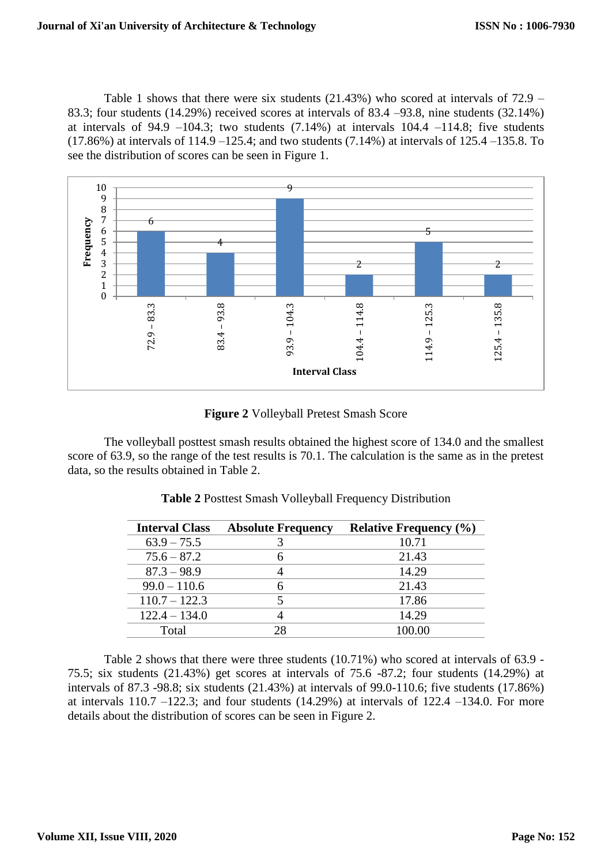Table 1 shows that there were six students (21.43%) who scored at intervals of 72.9 – 83.3; four students (14.29%) received scores at intervals of 83.4 –93.8, nine students (32.14%) at intervals of 94.9 –104.3; two students  $(7.14%)$  at intervals 104.4 –114.8; five students (17.86%) at intervals of 114.9 –125.4; and two students (7.14%) at intervals of 125.4 –135.8. To see the distribution of scores can be seen in Figure 1.



**Figure 2** Volleyball Pretest Smash Score

The volleyball posttest smash results obtained the highest score of 134.0 and the smallest score of 63.9, so the range of the test results is 70.1. The calculation is the same as in the pretest data, so the results obtained in Table 2.

| <b>Interval Class</b> | <b>Absolute Frequency</b> | <b>Relative Frequency (%)</b> |
|-----------------------|---------------------------|-------------------------------|
| $63.9 - 75.5$         |                           | 10.71                         |
| $75.6 - 87.2$         |                           | 21.43                         |
| $87.3 - 98.9$         |                           | 14.29                         |
| $99.0 - 110.6$        | h                         | 21.43                         |
| $110.7 - 122.3$       |                           | 17.86                         |
| $122.4 - 134.0$       |                           | 14.29                         |
| Total                 | 28                        | 100.00                        |

**Table 2** Posttest Smash Volleyball Frequency Distribution

Table 2 shows that there were three students (10.71%) who scored at intervals of 63.9 - 75.5; six students (21.43%) get scores at intervals of 75.6 -87.2; four students (14.29%) at intervals of 87.3 -98.8; six students (21.43%) at intervals of 99.0-110.6; five students (17.86%) at intervals  $110.7 - 122.3$ ; and four students  $(14.29%)$  at intervals of  $122.4 - 134.0$ . For more details about the distribution of scores can be seen in Figure 2.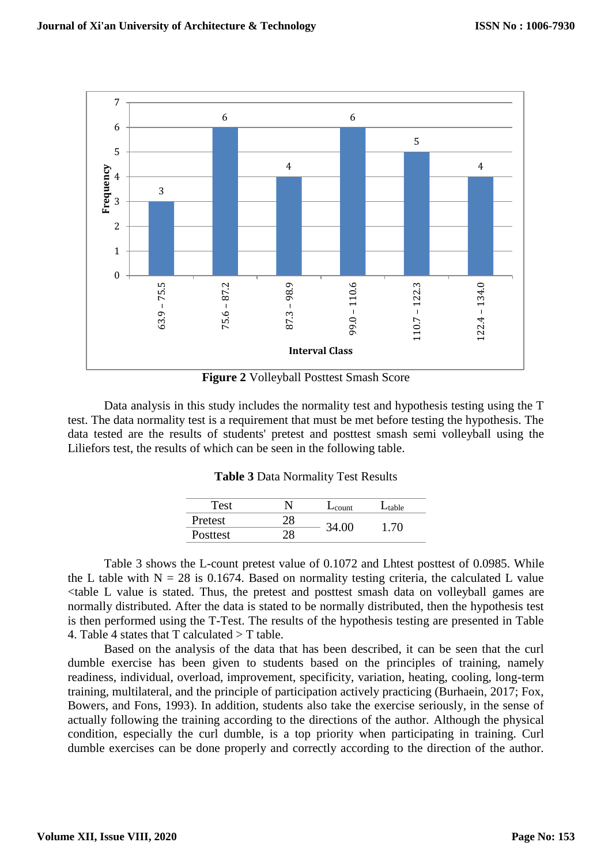

Data analysis in this study includes the normality test and hypothesis testing using the T

test. The data normality test is a requirement that must be met before testing the hypothesis. The data tested are the results of students' pretest and posttest smash semi volleyball using the Liliefors test, the results of which can be seen in the following table.

**Table 3** Data Normality Test Results

| Test     |    | $L_{\text{count}}$ | $L_{table}$ |
|----------|----|--------------------|-------------|
| Pretest  | 28 | 34.00              | 1.70        |
| Posttest | 28 |                    |             |

Table 3 shows the L-count pretest value of 0.1072 and Lhtest posttest of 0.0985. While the L table with  $N = 28$  is 0.1674. Based on normality testing criteria, the calculated L value <table L value is stated. Thus, the pretest and posttest smash data on volleyball games are normally distributed. After the data is stated to be normally distributed, then the hypothesis test is then performed using the T-Test. The results of the hypothesis testing are presented in Table 4. Table 4 states that  $T$  calculated  $>T$  table.

Based on the analysis of the data that has been described, it can be seen that the curl dumble exercise has been given to students based on the principles of training, namely readiness, individual, overload, improvement, specificity, variation, heating, cooling, long-term training, multilateral, and the principle of participation actively practicing (Burhaein, 2017; Fox, Bowers, and Fons, 1993). In addition, students also take the exercise seriously, in the sense of actually following the training according to the directions of the author. Although the physical condition, especially the curl dumble, is a top priority when participating in training. Curl dumble exercises can be done properly and correctly according to the direction of the author.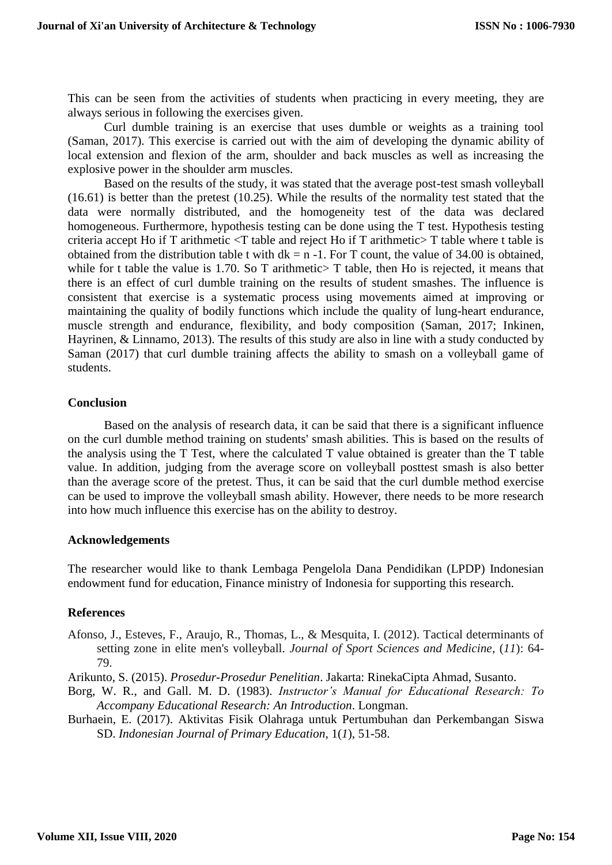This can be seen from the activities of students when practicing in every meeting, they are always serious in following the exercises given.

Curl dumble training is an exercise that uses dumble or weights as a training tool (Saman, 2017). This exercise is carried out with the aim of developing the dynamic ability of local extension and flexion of the arm, shoulder and back muscles as well as increasing the explosive power in the shoulder arm muscles.

Based on the results of the study, it was stated that the average post-test smash volleyball (16.61) is better than the pretest (10.25). While the results of the normality test stated that the data were normally distributed, and the homogeneity test of the data was declared homogeneous. Furthermore, hypothesis testing can be done using the T test. Hypothesis testing criteria accept Ho if T arithmetic <T table and reject Ho if T arithmetic> T table where t table is obtained from the distribution table t with  $dk = n - 1$ . For T count, the value of 34.00 is obtained, while for t table the value is  $1.70$ . So T arithmetic  $\geq$  T table, then Ho is rejected, it means that there is an effect of curl dumble training on the results of student smashes. The influence is consistent that exercise is a systematic process using movements aimed at improving or maintaining the quality of bodily functions which include the quality of lung-heart endurance, muscle strength and endurance, flexibility, and body composition (Saman, 2017; Inkinen, Hayrinen, & Linnamo, 2013). The results of this study are also in line with a study conducted by Saman (2017) that curl dumble training affects the ability to smash on a volleyball game of students.

#### **Conclusion**

Based on the analysis of research data, it can be said that there is a significant influence on the curl dumble method training on students' smash abilities. This is based on the results of the analysis using the T Test, where the calculated T value obtained is greater than the T table value. In addition, judging from the average score on volleyball posttest smash is also better than the average score of the pretest. Thus, it can be said that the curl dumble method exercise can be used to improve the volleyball smash ability. However, there needs to be more research into how much influence this exercise has on the ability to destroy.

## **Acknowledgements**

The researcher would like to thank Lembaga Pengelola Dana Pendidikan (LPDP) Indonesian endowment fund for education, Finance ministry of Indonesia for supporting this research.

## **References**

- Afonso, J., Esteves, F., Araujo, R., Thomas, L., & Mesquita, I. (2012). Tactical determinants of setting zone in elite men's volleyball. *Journal of Sport Sciences and Medicine*, (*11*): 64- 79.
- Arikunto, S. (2015). *Prosedur-Prosedur Penelitian*. Jakarta: RinekaCipta Ahmad, Susanto.
- Borg, W. R., and Gall. M. D. (1983). *Instructor's Manual for Educational Research: To Accompany Educational Research: An Introduction*. Longman.
- Burhaein, E. (2017). Aktivitas Fisik Olahraga untuk Pertumbuhan dan Perkembangan Siswa SD. *Indonesian Journal of Primary Education*, 1(*1*), 51-58.